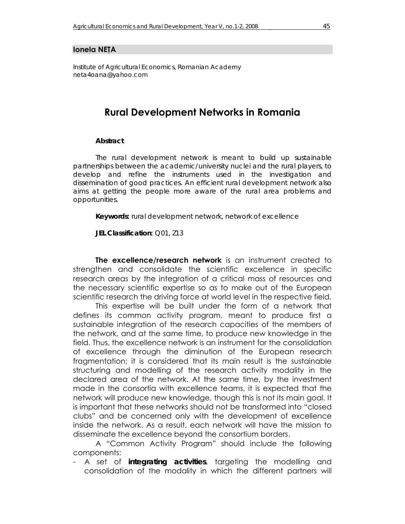#### **Ionela NEŢA**

*Institute of Agricultural Economics, Romanian Academy neta4oana@yahoo.com* 

# **Rural Development Networks in Romania**

#### *Abstract*

*The rural development network is meant to build up sustainable partnerships between the academic/university nuclei and the rural players, to develop and refine the instruments used in the investigation and dissemination of good practices. An efficient rural development network also aims at getting the people more aware of the rural area problems and opportunities.* 

*Keywords***:** *rural development network, network of excellence* 

*JEL Classification***:** *Q01, Z13*

**The excellence/research network** is an instrument created to strengthen and consolidate the scientific excellence in specific research areas by the integration of a critical mass of resources and the necessary scientific expertise so as to make out of the European scientific research the driving force at world level in the respective field.

This expertise will be built under the form of a network that defines its common activity program, meant to produce first a sustainable integration of the research capacities of the members of the network, and at the same time, to produce new knowledge in the field. Thus, the excellence network is an instrument for the consolidation of excellence through the diminution of the European research fragmentation; it is considered that its main result is the sustainable structuring and modelling of the research activity modality in the declared area of the network. At the same time, by the investment made in the consortia with excellence teams, it is expected that the network will produce new knowledge, though this is not its main goal. It is important that these networks should not be transformed into "closed clubs" and be concerned only with the development of excellence inside the network. As a result, each network will have the mission to disseminate the excellence beyond the consortium borders.

 A "Common Activity Program" should include the following components:

- A set of *integrating activities*, targeting the modelling and consolidation of the modality in which the different partners will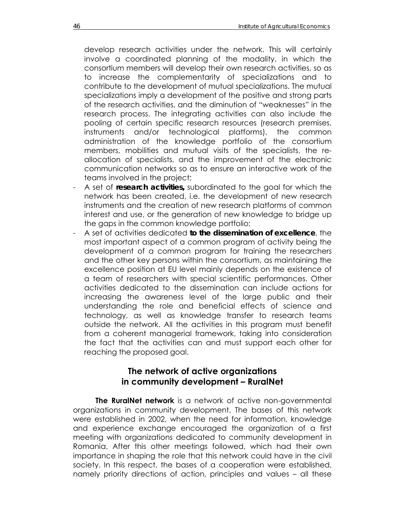develop research activities under the network. This will certainly involve a coordinated planning of the modality, in which the consortium members will develop their own research activities, so as to increase the complementarity of specializations and to contribute to the development of mutual specializations. The mutual specializations imply a development of the positive and strong parts of the research activities, and the diminution of "weaknesses" in the research process. The integrating activities can also include the pooling of certain specific research resources (research premises, instruments and/or technological platforms), the common administration of the knowledge portfolio of the consortium members, mobilities and mutual visits of the specialists, the reallocation of specialists, and the improvement of the electronic communication networks so as to ensure an interactive work of the teams involved in the project;

- A set of *research activities,* subordinated to the goal for which the network has been created, i.e. the development of new research instruments and the creation of new research platforms of common interest and use, or the generation of new knowledge to bridge up the gaps in the common knowledge portfolio;
- A set of activities dedicated *to the dissemination of excellence*, the most important aspect of a common program of activity being the development of a common program for training the researchers and the other key persons within the consortium, as maintaining the excellence position at EU level mainly depends on the existence of a team of researchers with special scientific performances. Other activities dedicated to the dissemination can include actions for increasing the awareness level of the large public and their understanding the role and beneficial effects of science and technology, as well as knowledge transfer to research teams outside the network. All the activities in this program must benefit from a coherent managerial framework, taking into consideration the fact that the activities can and must support each other for reaching the proposed goal.

## **The network of active organizations in community development – RuralNet**

**The RuralNet network** is a network of active non-governmental organizations in community development. The bases of this network were established in 2002, when the need for information, knowledge and experience exchange encouraged the organization of a first meeting with organizations dedicated to community development in Romania. After this other meetings followed, which had their own importance in shaping the role that this network could have in the civil society. In this respect, the bases of a cooperation were established, namely priority directions of action, principles and values – all these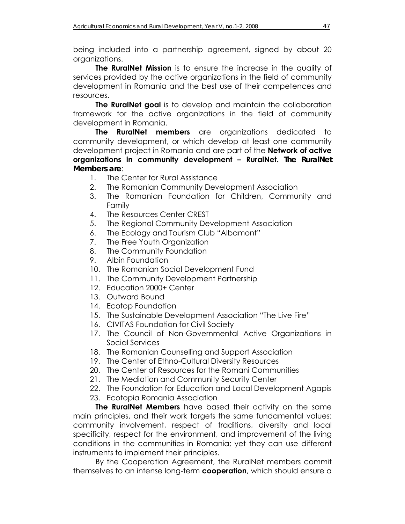being included into a partnership agreement, signed by about 20 organizations.

**The RuralNet Mission** is to ensure the increase in the quality of services provided by the active organizations in the field of community development in Romania and the best use of their competences and resources.

**The RuralNet goal** is to develop and maintain the collaboration framework for the active organizations in the field of community development in Romania.

**The RuralNet members** are organizations dedicated to community development, or which develop at least one community development project in Romania and are part of the **Network of active organizations in community development – RuralNet.** *The RuralNet Members are*:

- 1. The Center for Rural Assistance
- 2. The Romanian Community Development Association
- 3. The Romanian Foundation for Children, Community and Family
- 4. The Resources Center CREST
- 5. The Regional Community Development Association
- 6. The Ecology and Tourism Club "Albamont"
- 7. The Free Youth Organization
- 8. The Community Foundation
- 9. Albin Foundation
- 10. The Romanian Social Development Fund
- 11. The Community Development Partnership
- 12. Education 2000+ Center
- 13. Outward Bound
- 14. Ecotop Foundation
- 15. The Sustainable Development Association "The Live Fire"
- 16. CIVITAS Foundation for Civil Society
- 17. The Council of Non-Governmental Active Organizations in Social Services
- 18. The Romanian Counselling and Support Association
- 19. The Center of Ethno-Cultural Diversity Resources
- 20. The Center of Resources for the Romani Communities
- 21. The Mediation and Community Security Center
- 22. The Foundation for Education and Local Development Agapis
- 23. Ecotopia Romania Association

**The RuralNet Members** have based their activity on the same main principles, and their work targets the same fundamental values: community involvement, respect of traditions, diversity and local specificity, respect for the environment, and improvement of the living conditions in the communities in Romania; yet they can use different instruments to implement their principles.

 By the Cooperation Agreement, the RuralNet members commit themselves to an intense long-term **cooperation**, which should ensure a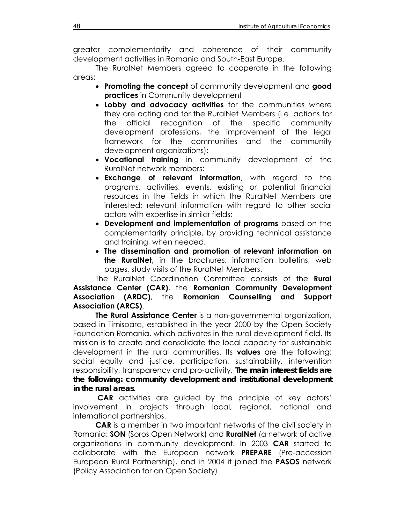greater complementarity and coherence of their community development activities in Romania and South-East Europe.

 The RuralNet Members agreed to cooperate in the following areas:

- **Promoting the concept** of community development and **good practices** in Community development
- **Lobby and advocacy activities** for the communities where they are acting and for the RuralNet Members (i.e. actions for the official recognition of the specific community development professions, the improvement of the legal framework for the communities and the community development organizations);
- **Vocational training** in community development of the RuralNet network members;
- **Exchange of relevant information**, with regard to the programs, activities, events, existing or potential financial resources in the fields in which the RuralNet Members are interested; relevant information with regard to other social actors with expertise in similar fields;
- **Development and implementation of programs** based on the complementarity principle, by providing technical assistance and training, when needed;
- **The dissemination and promotion of relevant information on the RuralNet,** in the brochures, information bulletins, web pages, study visits of the RuralNet Members.

 The RuralNet Coordination Committee consists of the **Rural Assistance Center (CAR)**, the **Romanian Community Development Association (ARDC)**, the **Romanian Counselling and Support Association (ARCS)**.

**The Rural Assistance Center** is a non-governmental organization, based in Timisoara, established in the year 2000 by the Open Society Foundation Romania, which activates in the rural development field. Its mission is to create and consolidate the local capacity for sustainable development in the rural communities. Its **values** are the following: social equity and justice, participation, sustainability, intervention responsibility, transparency and pro-activity. *The main interest fields are the following: community development and institutional development in the rural areas*.

 **CAR** activities are guided by the principle of key actors' involvement in projects through local, regional, national and international partnerships.

**CAR** is a member in two important networks of the civil society in Romania: **SON** (Soros Open Network) and **RuralNet** (a network of active organizations in community development. In 2003 **CAR** started to collaborate with the European network **PREPARE** (Pre-accession European Rural Partnership), and in 2004 it joined the **PASOS** network (Policy Association for an Open Society)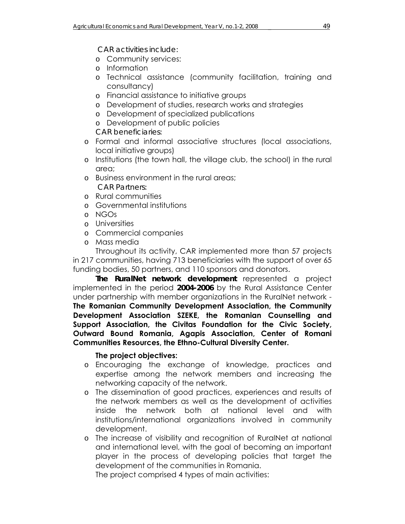### *CAR activities include:*

- o Community services:
- o Information
- o Technical assistance (community facilitation, training and consultancy)
- o Financial assistance to initiative groups
- o Development of studies, research works and strategies
- o Development of specialized publications
- o Development of public policies

*CAR beneficiaries:* 

- o Formal and informal associative structures (local associations, local initiative groups)
- o Institutions (the town hall, the village club, the school) in the rural area;
- o Business environment in the rural areas;  *CAR Partners:*
- o Rural communities
- o Governmental institutions
- o NGOs
- o Universities
- o Commercial companies
- o Mass media

Throughout its activity, CAR implemented more than 57 projects in 217 communities, having 713 beneficiaries with the support of over 65 funding bodies, 50 partners, and 110 sponsors and donators.

*The RuralNet network development* represented a project implemented in the period *2004-2006* by the Rural Assistance Center under partnership with member organizations in the RuralNet network - **The Romanian Community Development Association, the Community Development Association SZEKE, the Romanian Counselling and Support Association, the Civitas Foundation for the Civic Society, Outward Bound Romania, Agapis Association, Center of Romani Communities Resources, the Ethno-Cultural Diversity Center.** 

# **The project objectives:**

- o Encouraging the exchange of knowledge, practices and expertise among the network members and increasing the networking capacity of the network.
- o The dissemination of good practices, experiences and results of the network members as well as the development of activities inside the network both at national level and with institutions/international organizations involved in community development.
- o The increase of visibility and recognition of RuralNet at national and international level, with the goal of becoming an important player in the process of developing policies that target the development of the communities in Romania.

The project comprised 4 types of main activities: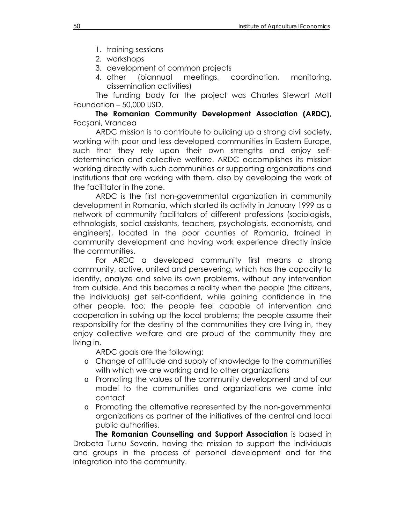- 1. training sessions
- 2. workshops
- 3. development of common projects
- 4. other (biannual meetings, coordination, monitoring, dissemination activities)

The funding body for the project was Charles Stewart Mott Foundation – 50,000 USD.

**The Romanian Community Development Association (ARDC),**  Focşani, Vrancea

ARDC mission is to contribute to building up a strong civil society, working with poor and less developed communities in Eastern Europe, such that they rely upon their own strengths and enjoy selfdetermination and collective welfare. ARDC accomplishes its mission working directly with such communities or supporting organizations and institutions that are working with them, also by developing the work of the facilitator in the zone.

 ARDC is the first non-governmental organization in community development in Romania, which started its activity in January 1999 as a network of community facilitators of different professions (sociologists, ethnologists, social assistants, teachers, psychologists, economists, and engineers), located in the poor counties of Romania, trained in community development and having work experience directly inside the communities.

 For ARDC a developed community first means a strong community, active, united and persevering, which has the capacity to identify, analyze and solve its own problems, without any intervention from outside. And this becomes a reality when the people (the citizens, the individuals) get self-confident, while gaining confidence in the other people, too; the people feel capable of intervention and cooperation in solving up the local problems; the people assume their responsibility for the destiny of the communities they are living in, they enjoy collective welfare and are proud of the community they are living in.

ARDC goals are the following:

- o Change of attitude and supply of knowledge to the communities with which we are working and to other organizations
- o Promoting the values of the community development and of our model to the communities and organizations we come into contact
- o Promoting the alternative represented by the non-governmental organizations as partner of the initiatives of the central and local public authorities.

**The Romanian Counselling and Support Association** is based in Drobeta Turnu Severin, having the mission to support the individuals and groups in the process of personal development and for the integration into the community.